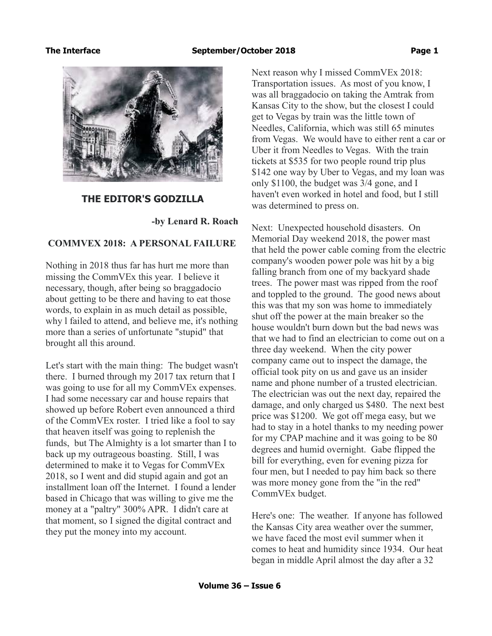

### **THE EDITOR'S GODZILLA**

 **-by Lenard R. Roach**

## **COMMVEX 2018: A PERSONAL FAILURE**

Nothing in 2018 thus far has hurt me more than missing the CommVEx this year. I believe it necessary, though, after being so braggadocio about getting to be there and having to eat those words, to explain in as much detail as possible, why l failed to attend, and believe me, it's nothing more than a series of unfortunate "stupid" that brought all this around.

Let's start with the main thing: The budget wasn't there. I burned through my 2017 tax return that I was going to use for all my CommVEx expenses. I had some necessary car and house repairs that showed up before Robert even announced a third of the CommVEx roster. I tried like a fool to say that heaven itself was going to replenish the funds, but The Almighty is a lot smarter than I to back up my outrageous boasting. Still, I was determined to make it to Vegas for CommVEx 2018, so I went and did stupid again and got an installment loan off the Internet. I found a lender based in Chicago that was willing to give me the money at a "paltry" 300% APR. I didn't care at that moment, so I signed the digital contract and they put the money into my account.

Next reason why I missed CommVEx 2018: Transportation issues. As most of you know, I was all braggadocio on taking the Amtrak from Kansas City to the show, but the closest I could get to Vegas by train was the little town of Needles, California, which was still 65 minutes from Vegas. We would have to either rent a car or Uber it from Needles to Vegas. With the train tickets at \$535 for two people round trip plus \$142 one way by Uber to Vegas, and my loan was only \$1100, the budget was 3/4 gone, and I haven't even worked in hotel and food, but I still was determined to press on.

Next: Unexpected household disasters. On Memorial Day weekend 2018, the power mast that held the power cable coming from the electric company's wooden power pole was hit by a big falling branch from one of my backyard shade trees. The power mast was ripped from the roof and toppled to the ground. The good news about this was that my son was home to immediately shut off the power at the main breaker so the house wouldn't burn down but the bad news was that we had to find an electrician to come out on a three day weekend. When the city power company came out to inspect the damage, the official took pity on us and gave us an insider name and phone number of a trusted electrician. The electrician was out the next day, repaired the damage, and only charged us \$480. The next best price was \$1200. We got off mega easy, but we had to stay in a hotel thanks to my needing power for my CPAP machine and it was going to be 80 degrees and humid overnight. Gabe flipped the bill for everything, even for evening pizza for four men, but I needed to pay him back so there was more money gone from the "in the red" CommVEx budget.

Here's one: The weather. If anyone has followed the Kansas City area weather over the summer, we have faced the most evil summer when it comes to heat and humidity since 1934. Our heat began in middle April almost the day after a 32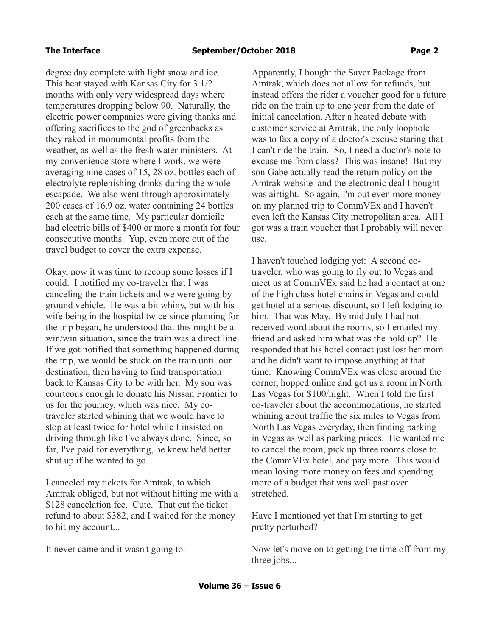degree day complete with light snow and ice. This heat stayed with Kansas City for 3 1/2 months with only very widespread days where temperatures dropping below 90. Naturally, the electric power companies were giving thanks and offering sacrifices to the god of greenbacks as they raked in monumental profits from the weather, as well as the fresh water ministers. At my convenience store where I work, we were averaging nine cases of 15, 28 oz. bottles each of electrolyte replenishing drinks during the whole escapade. We also went through approximately 200 cases of 16.9 oz. water containing 24 bottles each at the same time. My particular domicile had electric bills of \$400 or more a month for four consecutive months. Yup, even more out of the travel budget to cover the extra expense.

Okay, now it was time to recoup some losses if I could. I notified my co-traveler that I was canceling the train tickets and we were going by ground vehicle. He was a bit whiny, but with his wife being in the hospital twice since planning for the trip began, he understood that this might be a win/win situation, since the train was a direct line. If we got notified that something happened during the trip, we would be stuck on the train until our destination, then having to find transportation back to Kansas City to be with her. My son was courteous enough to donate his Nissan Frontier to us for the journey, which was nice. My cotraveler started whining that we would have to stop at least twice for hotel while I insisted on driving through like I've always done. Since, so far, I've paid for everything, he knew he'd better shut up if he wanted to go.

I canceled my tickets for Amtrak, to which Amtrak obliged, but not without hitting me with a \$128 cancelation fee. Cute. That cut the ticket refund to about \$382, and I waited for the money to hit my account...

It never came and it wasn't going to.

Apparently, I bought the Saver Package from Amtrak, which does not allow for refunds, but instead offers the rider a voucher good for a future ride on the train up to one year from the date of initial cancelation. After a heated debate with customer service at Amtrak, the only loophole was to fax a copy of a doctor's excuse staring that I can't ride the train. So, I need a doctor's note to excuse me from class? This was insane! But my son Gabe actually read the return policy on the Amtrak website and the electronic deal I bought was airtight. So again, I'm out even more money on my planned trip to CommVEx and I haven't even left the Kansas City metropolitan area. All I got was a train voucher that I probably will never use.

I haven't touched lodging yet: A second cotraveler, who was going to fly out to Vegas and meet us at CommVEx said he had a contact at one of the high class hotel chains in Vegas and could get hotel at a serious discount, so I left lodging to him. That was May. By mid July I had not received word about the rooms, so I emailed my friend and asked him what was the hold up? He responded that his hotel contact just lost her mom and he didn't want to impose anything at that time. Knowing CommVEx was close around the corner, hopped online and got us a room in North Las Vegas for \$100/night. When I told the first co-traveler about the accommodations, he started whining about traffic the six miles to Vegas from North Las Vegas everyday, then finding parking in Vegas as well as parking prices. He wanted me to cancel the room, pick up three rooms close to the CommVEx hotel, and pay more. This would mean losing more money on fees and spending more of a budget that was well past over stretched.

Have I mentioned yet that I'm starting to get pretty perturbed?

Now let's move on to getting the time off from my three jobs...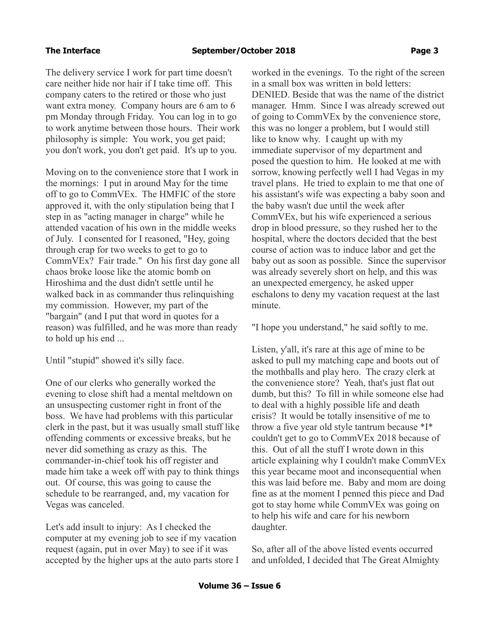The delivery service I work for part time doesn't care neither hide nor hair if I take time off. This company caters to the retired or those who just want extra money. Company hours are 6 am to 6 pm Monday through Friday. You can log in to go to work anytime between those hours. Their work philosophy is simple: You work, you get paid; you don't work, you don't get paid. It's up to you.

Moving on to the convenience store that I work in the mornings: I put in around May for the time off to go to CommVEx. The HMFIC of the store approved it, with the only stipulation being that I step in as "acting manager in charge" while he attended vacation of his own in the middle weeks of July. I consented for I reasoned, "Hey, going through crap for two weeks to get to go to CommVEx? Fair trade." On his first day gone all chaos broke loose like the atomic bomb on Hiroshima and the dust didn't settle until he walked back in as commander thus relinquishing my commission. However, my part of the "bargain" (and I put that word in quotes for a reason) was fulfilled, and he was more than ready to hold up his end ...

Until "stupid" showed it's silly face.

One of our clerks who generally worked the evening to close shift had a mental meltdown on an unsuspecting customer right in front of the boss. We have had problems with this particular clerk in the past, but it was usually small stuff like offending comments or excessive breaks, but he never did something as crazy as this. The commander-in-chief took his off register and made him take a week off with pay to think things out. Of course, this was going to cause the schedule to be rearranged, and, my vacation for Vegas was canceled.

Let's add insult to injury: As I checked the computer at my evening job to see if my vacation request (again, put in over May) to see if it was accepted by the higher ups at the auto parts store I worked in the evenings. To the right of the screen in a small box was written in bold letters: DENIED. Beside that was the name of the district manager. Hmm. Since I was already screwed out of going to CommVEx by the convenience store, this was no longer a problem, but I would still like to know why. I caught up with my immediate supervisor of my department and posed the question to him. He looked at me with sorrow, knowing perfectly well I had Vegas in my travel plans. He tried to explain to me that one of his assistant's wife was expecting a baby soon and the baby wasn't due until the week after CommVEx, but his wife experienced a serious drop in blood pressure, so they rushed her to the hospital, where the doctors decided that the best course of action was to induce labor and get the baby out as soon as possible. Since the supervisor was already severely short on help, and this was an unexpected emergency, he asked upper eschalons to deny my vacation request at the last minute.

"I hope you understand," he said softly to me.

Listen, y'all, it's rare at this age of mine to be asked to pull my matching cape and boots out of the mothballs and play hero. The crazy clerk at the convenience store? Yeah, that's just flat out dumb, but this? To fill in while someone else had to deal with a highly possible life and death crisis? It would be totally insensitive of me to throw a five year old style tantrum because \*I\* couldn't get to go to CommVEx 2018 because of this. Out of all the stuff I wrote down in this article explaining why I couldn't make CommVEx this year became moot and inconsequential when this was laid before me. Baby and mom are doing fine as at the moment I penned this piece and Dad got to stay home while CommVEx was going on to help his wife and care for his newborn daughter.

So, after all of the above listed events occurred and unfolded, I decided that The Great Almighty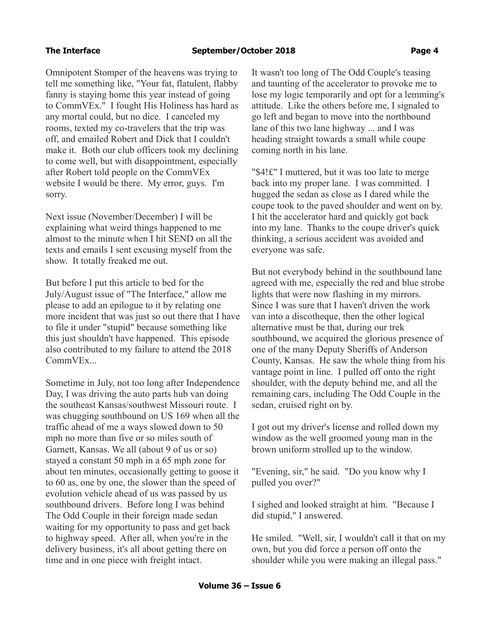Omnipotent Stomper of the heavens was trying to tell me something like, "Your fat, flatulent, flabby fanny is staying home this year instead of going to CommVEx." I fought His Holiness has hard as any mortal could, but no dice. I canceled my rooms, texted my co-travelers that the trip was off, and emailed Robert and Dick that I couldn't make it. Both our club officers took my declining to come well, but with disappointment, especially after Robert told people on the CommVEx website I would be there. My error, guys. I'm sorry.

Next issue (November/December) I will be explaining what weird things happened to me almost to the minute when I hit SEND on all the texts and emails I sent excusing myself from the show. It totally freaked me out.

But before I put this article to bed for the July/August issue of "The Interface," allow me please to add an epilogue to it by relating one more incident that was just so out there that I have to file it under "stupid" because something like this just shouldn't have happened. This episode also contributed to my failure to attend the 2018 CommVEx...

Sometime in July, not too long after Independence Day, I was driving the auto parts hub van doing the southeast Kansas/southwest Missouri route. I was chugging southbound on US 169 when all the traffic ahead of me a ways slowed down to 50 mph no more than five or so miles south of Garnett, Kansas. We all (about 9 of us or so) stayed a constant 50 mph in a 65 mph zone for about ten minutes, occasionally getting to goose it to 60 as, one by one, the slower than the speed of evolution vehicle ahead of us was passed by us southbound drivers. Before long I was behind The Odd Couple in their foreign made sedan waiting for my opportunity to pass and get back to highway speed. After all, when you're in the delivery business, it's all about getting there on time and in one piece with freight intact.

It wasn't too long of The Odd Couple's teasing and taunting of the accelerator to provoke me to lose my logic temporarily and opt for a lemming's attitude. Like the others before me, I signaled to go left and began to move into the northbound lane of this two lane highway ... and I was heading straight towards a small while coupe coming north in his lane.

"\$4!£" I muttered, but it was too late to merge back into my proper lane. I was committed. I hugged the sedan as close as I dared while the coupe took to the paved shoulder and went on by. I hit the accelerator hard and quickly got back into my lane. Thanks to the coupe driver's quick thinking, a serious accident was avoided and everyone was safe.

But not everybody behind in the southbound lane agreed with me, especially the red and blue strobe lights that were now flashing in my mirrors. Since I was sure that I haven't driven the work van into a discotheque, then the other logical alternative must be that, during our trek southbound, we acquired the glorious presence of one of the many Deputy Sheriffs of Anderson County, Kansas. He saw the whole thing from his vantage point in line. I pulled off onto the right shoulder, with the deputy behind me, and all the remaining cars, including The Odd Couple in the sedan, cruised right on by.

I got out my driver's license and rolled down my window as the well groomed young man in the brown uniform strolled up to the window.

"Evening, sir," he said. "Do you know why I pulled you over?"

I sighed and looked straight at him. "Because I did stupid," I answered.

He smiled. "Well, sir, I wouldn't call it that on my own, but you did force a person off onto the shoulder while you were making an illegal pass."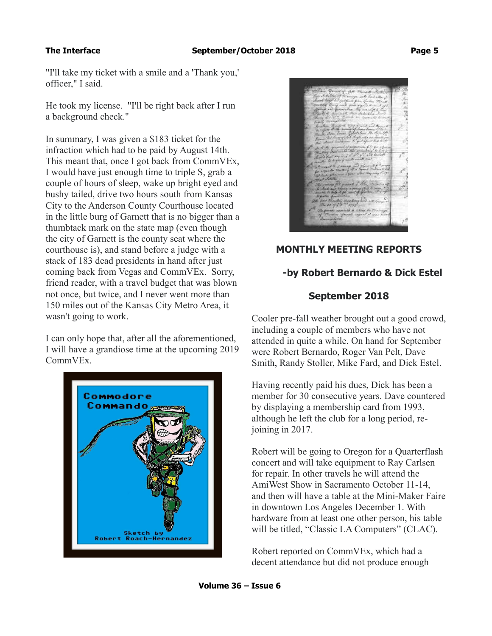"I'll take my ticket with a smile and a 'Thank you,' officer," I said.

He took my license. "I'll be right back after I run a background check."

In summary, I was given a \$183 ticket for the infraction which had to be paid by August 14th. This meant that, once I got back from CommVEx, I would have just enough time to triple S, grab a couple of hours of sleep, wake up bright eyed and bushy tailed, drive two hours south from Kansas City to the Anderson County Courthouse located in the little burg of Garnett that is no bigger than a thumbtack mark on the state map (even though the city of Garnett is the county seat where the courthouse is), and stand before a judge with a stack of 183 dead presidents in hand after just coming back from Vegas and CommVEx. Sorry, friend reader, with a travel budget that was blown not once, but twice, and I never went more than 150 miles out of the Kansas City Metro Area, it wasn't going to work.

I can only hope that, after all the aforementioned, I will have a grandiose time at the upcoming 2019 CommVEx.





# **MONTHLY MEETING REPORTS**

# **-by Robert Bernardo & Dick Estel**

# **September 2018**

Cooler pre-fall weather brought out a good crowd, including a couple of members who have not attended in quite a while. On hand for September were Robert Bernardo, Roger Van Pelt, Dave Smith, Randy Stoller, Mike Fard, and Dick Estel.

Having recently paid his dues, Dick has been a member for 30 consecutive years. Dave countered by displaying a membership card from 1993, although he left the club for a long period, rejoining in 2017.

Robert will be going to Oregon for a Quarterflash concert and will take equipment to Ray Carlsen for repair. In other travels he will attend the AmiWest Show in Sacramento October 11-14, and then will have a table at the Mini-Maker Faire in downtown Los Angeles December 1. With hardware from at least one other person, his table will be titled, "Classic LA Computers" (CLAC).

Robert reported on CommVEx, which had a decent attendance but did not produce enough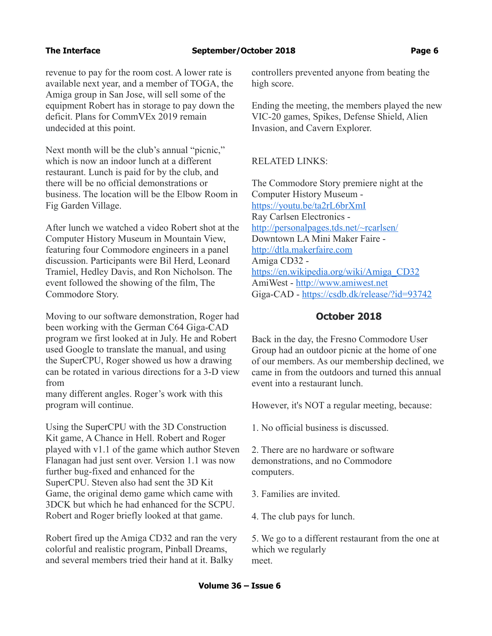revenue to pay for the room cost. A lower rate is available next year, and a member of TOGA, the Amiga group in San Jose, will sell some of the equipment Robert has in storage to pay down the deficit. Plans for CommVEx 2019 remain undecided at this point.

Next month will be the club's annual "picnic," which is now an indoor lunch at a different restaurant. Lunch is paid for by the club, and there will be no official demonstrations or business. The location will be the Elbow Room in Fig Garden Village.

After lunch we watched a video Robert shot at the Computer History Museum in Mountain View, featuring four Commodore engineers in a panel discussion. Participants were Bil Herd, Leonard Tramiel, Hedley Davis, and Ron Nicholson. The event followed the showing of the film, The Commodore Story.

Moving to our software demonstration, Roger had been working with the German C64 Giga-CAD program we first looked at in July. He and Robert used Google to translate the manual, and using the SuperCPU, Roger showed us how a drawing can be rotated in various directions for a 3-D view from

many different angles. Roger's work with this program will continue.

Using the SuperCPU with the 3D Construction Kit game, A Chance in Hell. Robert and Roger played with v1.1 of the game which author Steven Flanagan had just sent over. Version 1.1 was now further bug-fixed and enhanced for the SuperCPU. Steven also had sent the 3D Kit Game, the original demo game which came with 3DCK but which he had enhanced for the SCPU. Robert and Roger briefly looked at that game.

Robert fired up the Amiga CD32 and ran the very colorful and realistic program, Pinball Dreams, and several members tried their hand at it. Balky

controllers prevented anyone from beating the high score.

Ending the meeting, the members played the new VIC-20 games, Spikes, Defense Shield, Alien Invasion, and Cavern Explorer.

## RELATED LINKS:

The Commodore Story premiere night at the Computer History Museum <https://youtu.be/ta2rL6brXmI> Ray Carlsen Electronics <http://personalpages.tds.net/~rcarlsen/> Downtown LA Mini Maker Faire [http://dtla.makerfaire.com](http://dtla.makerfaire.com/) Amiga CD32 [https://en.wikipedia.org/wiki/Amiga\\_CD32](https://en.wikipedia.org/wiki/Amiga_CD32) AmiWest - [http://www.amiwest.net](http://www.amiwest.net/) Giga-CAD -<https://csdb.dk/release/?id=93742>

# **October 2018**

Back in the day, the Fresno Commodore User Group had an outdoor picnic at the home of one of our members. As our membership declined, we came in from the outdoors and turned this annual event into a restaurant lunch.

However, it's NOT a regular meeting, because:

1. No official business is discussed.

2. There are no hardware or software demonstrations, and no Commodore computers.

3. Families are invited.

4. The club pays for lunch.

5. We go to a different restaurant from the one at which we regularly meet.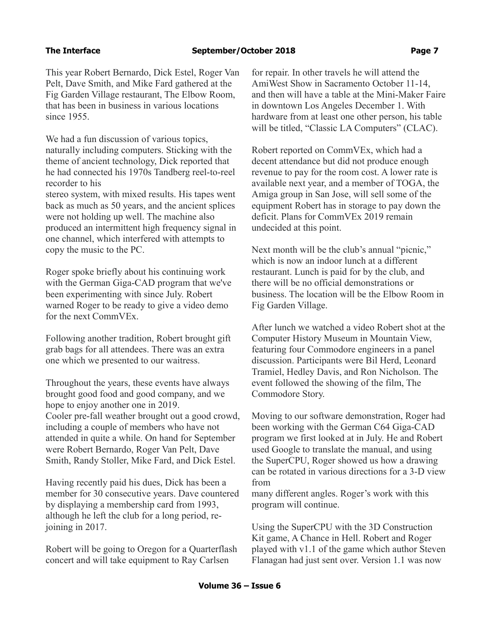This year Robert Bernardo, Dick Estel, Roger Van Pelt, Dave Smith, and Mike Fard gathered at the Fig Garden Village restaurant, The Elbow Room, that has been in business in various locations since 1955.

We had a fun discussion of various topics, naturally including computers. Sticking with the theme of ancient technology, Dick reported that he had connected his 1970s Tandberg reel-to-reel recorder to his

stereo system, with mixed results. His tapes went back as much as 50 years, and the ancient splices were not holding up well. The machine also produced an intermittent high frequency signal in one channel, which interfered with attempts to copy the music to the PC.

Roger spoke briefly about his continuing work with the German Giga-CAD program that we've been experimenting with since July. Robert warned Roger to be ready to give a video demo for the next CommVEx.

Following another tradition, Robert brought gift grab bags for all attendees. There was an extra one which we presented to our waitress.

Throughout the years, these events have always brought good food and good company, and we hope to enjoy another one in 2019. Cooler pre-fall weather brought out a good crowd, including a couple of members who have not attended in quite a while. On hand for September were Robert Bernardo, Roger Van Pelt, Dave Smith, Randy Stoller, Mike Fard, and Dick Estel.

Having recently paid his dues, Dick has been a member for 30 consecutive years. Dave countered by displaying a membership card from 1993, although he left the club for a long period, rejoining in 2017.

Robert will be going to Oregon for a Quarterflash concert and will take equipment to Ray Carlsen

for repair. In other travels he will attend the AmiWest Show in Sacramento October 11-14, and then will have a table at the Mini-Maker Faire in downtown Los Angeles December 1. With hardware from at least one other person, his table will be titled, "Classic LA Computers" (CLAC).

Robert reported on CommVEx, which had a decent attendance but did not produce enough revenue to pay for the room cost. A lower rate is available next year, and a member of TOGA, the Amiga group in San Jose, will sell some of the equipment Robert has in storage to pay down the deficit. Plans for CommVEx 2019 remain undecided at this point.

Next month will be the club's annual "picnic," which is now an indoor lunch at a different restaurant. Lunch is paid for by the club, and there will be no official demonstrations or business. The location will be the Elbow Room in Fig Garden Village.

After lunch we watched a video Robert shot at the Computer History Museum in Mountain View, featuring four Commodore engineers in a panel discussion. Participants were Bil Herd, Leonard Tramiel, Hedley Davis, and Ron Nicholson. The event followed the showing of the film, The Commodore Story.

Moving to our software demonstration, Roger had been working with the German C64 Giga-CAD program we first looked at in July. He and Robert used Google to translate the manual, and using the SuperCPU, Roger showed us how a drawing can be rotated in various directions for a 3-D view from

many different angles. Roger's work with this program will continue.

Using the SuperCPU with the 3D Construction Kit game, A Chance in Hell. Robert and Roger played with v1.1 of the game which author Steven Flanagan had just sent over. Version 1.1 was now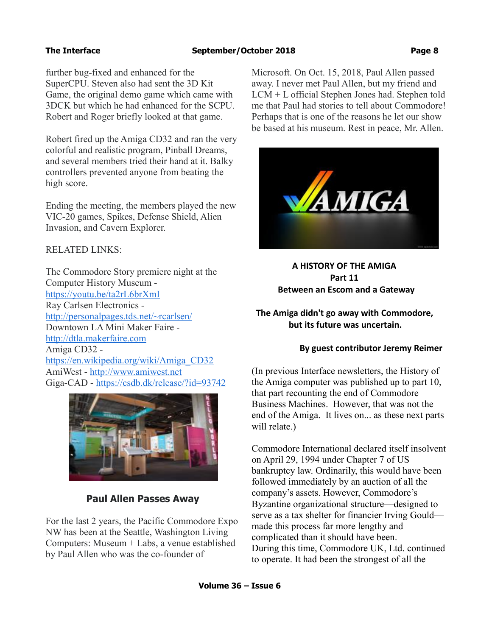further bug-fixed and enhanced for the SuperCPU. Steven also had sent the 3D Kit Game, the original demo game which came with 3DCK but which he had enhanced for the SCPU. Robert and Roger briefly looked at that game.

Robert fired up the Amiga CD32 and ran the very colorful and realistic program, Pinball Dreams, and several members tried their hand at it. Balky controllers prevented anyone from beating the high score.

Ending the meeting, the members played the new VIC-20 games, Spikes, Defense Shield, Alien Invasion, and Cavern Explorer.

## RELATED LINKS:

The Commodore Story premiere night at the Computer History Museum <https://youtu.be/ta2rL6brXmI> Ray Carlsen Electronics <http://personalpages.tds.net/~rcarlsen/> Downtown LA Mini Maker Faire [http://dtla.makerfaire.com](http://dtla.makerfaire.com/) Amiga CD32 [https://en.wikipedia.org/wiki/Amiga\\_CD32](https://en.wikipedia.org/wiki/Amiga_CD32) AmiWest - [http://www.amiwest.net](http://www.amiwest.net/) Giga-CAD -<https://csdb.dk/release/?id=93742>



# **Paul Allen Passes Away**

For the last 2 years, the Pacific Commodore Expo NW has been at the Seattle, Washington Living Computers: Museum + Labs, a venue established by Paul Allen who was the co-founder of

Microsoft. On Oct. 15, 2018, Paul Allen passed away. I never met Paul Allen, but my friend and LCM + L official Stephen Jones had. Stephen told me that Paul had stories to tell about Commodore! Perhaps that is one of the reasons he let our show be based at his museum. Rest in peace, Mr. Allen.



 **A HISTORY OF THE AMIGA Part 11 Between an Escom and a Gateway**

 **The Amiga didn't go away with Commodore, but its future was uncertain.**

### **By guest contributor Jeremy Reimer**

(In previous Interface newsletters, the History of the Amiga computer was published up to part 10, that part recounting the end of Commodore Business Machines. However, that was not the end of the Amiga. It lives on... as these next parts will relate.)

Commodore International declared itself insolvent on April 29, 1994 under Chapter 7 of US bankruptcy law. Ordinarily, this would have been followed immediately by an auction of all the company's assets. However, Commodore's Byzantine organizational structure—designed to serve as a tax shelter for financier Irving Gould made this process far more lengthy and complicated than it should have been. During this time, Commodore UK, Ltd. continued to operate. It had been the strongest of all the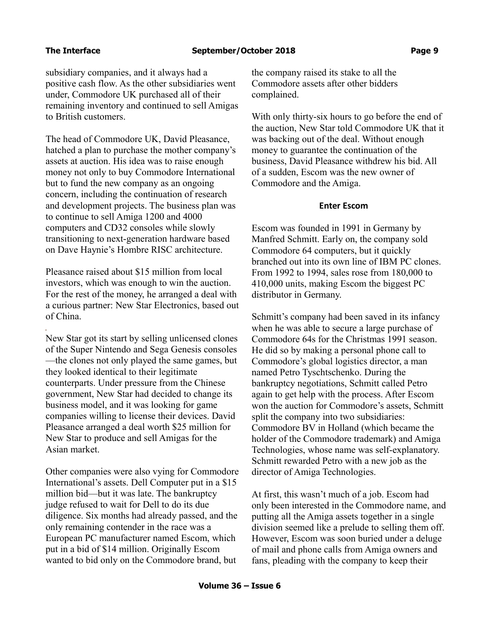i<br>I

subsidiary companies, and it always had a positive cash flow. As the other subsidiaries went under, Commodore UK purchased all of their remaining inventory and continued to sell Amigas to British customers.

The head of Commodore UK, David Pleasance, hatched a plan to purchase the mother company's assets at auction. His idea was to raise enough money not only to buy Commodore International but to fund the new company as an ongoing concern, including the continuation of research and development projects. The business plan was to continue to sell Amiga 1200 and 4000 computers and CD32 consoles while slowly transitioning to next-generation hardware based on Dave Haynie's Hombre RISC architecture.

Pleasance raised about \$15 million from local investors, which was enough to win the auction. For the rest of the money, he arranged a deal with a curious partner: New Star Electronics, based out of China.

New Star got its start by selling unlicensed clones of the Super Nintendo and Sega Genesis consoles —the clones not only played the same games, but they looked identical to their legitimate counterparts. Under pressure from the Chinese government, New Star had decided to change its business model, and it was looking for game companies willing to license their devices. David Pleasance arranged a deal worth \$25 million for New Star to produce and sell Amigas for the Asian market.

Other companies were also vying for Commodore International's assets. Dell Computer put in a \$15 million bid—but it was late. The bankruptcy judge refused to wait for Dell to do its due diligence. Six months had already passed, and the only remaining contender in the race was a European PC manufacturer named Escom, which put in a bid of \$14 million. Originally Escom wanted to bid only on the Commodore brand, but

the company raised its stake to all the Commodore assets after other bidders complained.

With only thirty-six hours to go before the end of the auction, New Star told Commodore UK that it was backing out of the deal. Without enough money to guarantee the continuation of the business, David Pleasance withdrew his bid. All of a sudden, Escom was the new owner of Commodore and the Amiga.

### **Enter Escom**

Escom was founded in 1991 in Germany by Manfred Schmitt. Early on, the company sold Commodore 64 computers, but it quickly branched out into its own line of IBM PC clones. From 1992 to 1994, sales rose from 180,000 to 410,000 units, making Escom the biggest PC distributor in Germany.

Schmitt's company had been saved in its infancy when he was able to secure a large purchase of Commodore 64s for the Christmas 1991 season. He did so by making a personal phone call to Commodore's global logistics director, a man named Petro Tyschtschenko. During the bankruptcy negotiations, Schmitt called Petro again to get help with the process. After Escom won the auction for Commodore's assets, Schmitt split the company into two subsidiaries: Commodore BV in Holland (which became the holder of the Commodore trademark) and Amiga Technologies, whose name was self-explanatory. Schmitt rewarded Petro with a new job as the director of Amiga Technologies.

At first, this wasn't much of a job. Escom had only been interested in the Commodore name, and putting all the Amiga assets together in a single division seemed like a prelude to selling them off. However, Escom was soon buried under a deluge of mail and phone calls from Amiga owners and fans, pleading with the company to keep their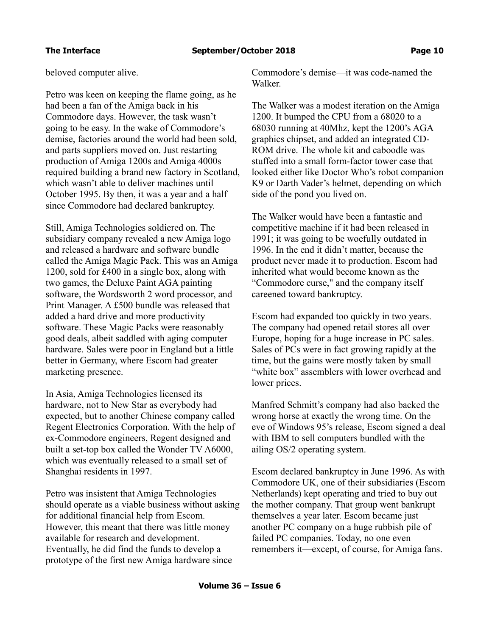beloved computer alive.

Petro was keen on keeping the flame going, as he had been a fan of the Amiga back in his Commodore days. However, the task wasn't going to be easy. In the wake of Commodore's demise, factories around the world had been sold, and parts suppliers moved on. Just restarting production of Amiga 1200s and Amiga 4000s required building a brand new factory in Scotland, which wasn't able to deliver machines until October 1995. By then, it was a year and a half since Commodore had declared bankruptcy.

Still, Amiga Technologies soldiered on. The subsidiary company revealed a new Amiga logo and released a hardware and software bundle called the Amiga Magic Pack. This was an Amiga 1200, sold for £400 in a single box, along with two games, the Deluxe Paint AGA painting software, the Wordsworth 2 word processor, and Print Manager. A £500 bundle was released that added a hard drive and more productivity software. These Magic Packs were reasonably good deals, albeit saddled with aging computer hardware. Sales were poor in England but a little better in Germany, where Escom had greater marketing presence.

In Asia, Amiga Technologies licensed its hardware, not to New Star as everybody had expected, but to another Chinese company called Regent Electronics Corporation. With the help of ex-Commodore engineers, Regent designed and built a set-top box called the Wonder TV A6000, which was eventually released to a small set of Shanghai residents in 1997.

Petro was insistent that Amiga Technologies should operate as a viable business without asking for additional financial help from Escom. However, this meant that there was little money available for research and development. Eventually, he did find the funds to develop a prototype of the first new Amiga hardware since

Commodore's demise—it was code-named the Walker.

The Walker was a modest iteration on the Amiga 1200. It bumped the CPU from a 68020 to a 68030 running at 40Mhz, kept the 1200's AGA graphics chipset, and added an integrated CD-ROM drive. The whole kit and caboodle was stuffed into a small form-factor tower case that looked either like Doctor Who's robot companion K9 or Darth Vader's helmet, depending on which side of the pond you lived on.

The Walker would have been a fantastic and competitive machine if it had been released in 1991; it was going to be woefully outdated in 1996. In the end it didn't matter, because the product never made it to production. Escom had inherited what would become known as the "Commodore curse," and the company itself careened toward bankruptcy.

Escom had expanded too quickly in two years. The company had opened retail stores all over Europe, hoping for a huge increase in PC sales. Sales of PCs were in fact growing rapidly at the time, but the gains were mostly taken by small "white box" assemblers with lower overhead and lower prices.

Manfred Schmitt's company had also backed the wrong horse at exactly the wrong time. On the eve of Windows 95's release, Escom signed a deal with IBM to sell computers bundled with the ailing OS/2 operating system.

Escom declared bankruptcy in June 1996. As with Commodore UK, one of their subsidiaries (Escom Netherlands) kept operating and tried to buy out the mother company. That group went bankrupt themselves a year later. Escom became just another PC company on a huge rubbish pile of failed PC companies. Today, no one even remembers it—except, of course, for Amiga fans.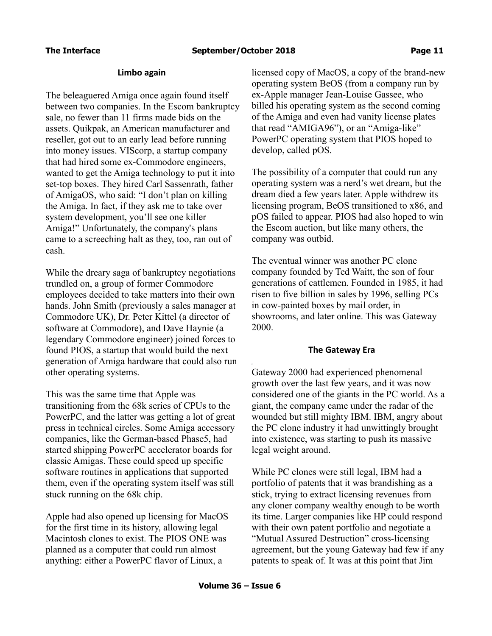### **Limbo again**

The beleaguered Amiga once again found itself between two companies. In the Escom bankruptcy sale, no fewer than 11 firms made bids on the assets. Quikpak, an American manufacturer and reseller, got out to an early lead before running into money issues. VIScorp, a startup company that had hired some ex-Commodore engineers, wanted to get the Amiga technology to put it into set-top boxes. They hired Carl Sassenrath, father of AmigaOS, who said: "I don't plan on killing the Amiga. In fact, if they ask me to take over system development, you'll see one killer Amiga!" Unfortunately, the company's plans came to a screeching halt as they, too, ran out of cash.

While the dreary saga of bankruptcy negotiations trundled on, a group of former Commodore employees decided to take matters into their own hands. John Smith (previously a sales manager at Commodore UK), Dr. Peter Kittel (a director of software at Commodore), and Dave Haynie (a legendary Commodore engineer) joined forces to found PIOS, a startup that would build the next generation of Amiga hardware that could also run other operating systems.

This was the same time that Apple was transitioning from the 68k series of CPUs to the PowerPC, and the latter was getting a lot of great press in technical circles. Some Amiga accessory companies, like the German-based Phase5, had started shipping PowerPC accelerator boards for classic Amigas. These could speed up specific software routines in applications that supported them, even if the operating system itself was still stuck running on the 68k chip.

Apple had also opened up licensing for MacOS for the first time in its history, allowing legal Macintosh clones to exist. The PIOS ONE was planned as a computer that could run almost anything: either a PowerPC flavor of Linux, a

licensed copy of MacOS, a copy of the brand-new operating system BeOS (from a company run by ex-Apple manager Jean-Louise Gassee, who billed his operating system as the second coming of the Amiga and even had vanity license plates that read "AMIGA96"), or an "Amiga-like" PowerPC operating system that PIOS hoped to develop, called pOS.

The possibility of a computer that could run any operating system was a nerd's wet dream, but the dream died a few years later. Apple withdrew its licensing program, BeOS transitioned to x86, and pOS failed to appear. PIOS had also hoped to win the Escom auction, but like many others, the company was outbid.

The eventual winner was another PC clone company founded by Ted Waitt, the son of four generations of cattlemen. Founded in 1985, it had risen to five billion in sales by 1996, selling PCs in cow-painted boxes by mail order, in showrooms, and later online. This was Gateway 2000.

### **The Gateway Era**

Gateway 2000 had experienced phenomenal growth over the last few years, and it was now considered one of the giants in the PC world. As a giant, the company came under the radar of the wounded but still mighty IBM. IBM, angry about the PC clone industry it had unwittingly brought into existence, was starting to push its massive legal weight around.

While PC clones were still legal, IBM had a portfolio of patents that it was brandishing as a stick, trying to extract licensing revenues from any cloner company wealthy enough to be worth its time. Larger companies like HP could respond with their own patent portfolio and negotiate a "Mutual Assured Destruction" cross-licensing agreement, but the young Gateway had few if any patents to speak of. It was at this point that Jim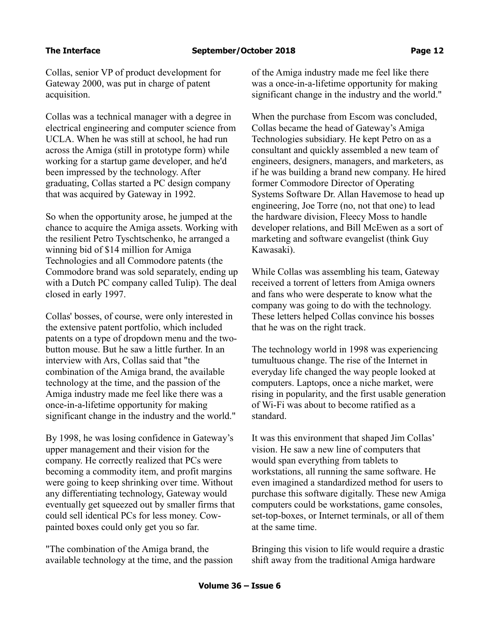Collas, senior VP of product development for Gateway 2000, was put in charge of patent acquisition.

Collas was a technical manager with a degree in electrical engineering and computer science from UCLA. When he was still at school, he had run across the Amiga (still in prototype form) while working for a startup game developer, and he'd been impressed by the technology. After graduating, Collas started a PC design company that was acquired by Gateway in 1992.

So when the opportunity arose, he jumped at the chance to acquire the Amiga assets. Working with the resilient Petro Tyschtschenko, he arranged a winning bid of \$14 million for Amiga Technologies and all Commodore patents (the Commodore brand was sold separately, ending up with a Dutch PC company called Tulip). The deal closed in early 1997.

Collas' bosses, of course, were only interested in the extensive patent portfolio, which included patents on a type of dropdown menu and the twobutton mouse. But he saw a little further. In an interview with Ars, Collas said that "the combination of the Amiga brand, the available technology at the time, and the passion of the Amiga industry made me feel like there was a once-in-a-lifetime opportunity for making significant change in the industry and the world."

By 1998, he was losing confidence in Gateway's upper management and their vision for the company. He correctly realized that PCs were becoming a commodity item, and profit margins were going to keep shrinking over time. Without any differentiating technology, Gateway would eventually get squeezed out by smaller firms that could sell identical PCs for less money. Cowpainted boxes could only get you so far.

"The combination of the Amiga brand, the available technology at the time, and the passion of the Amiga industry made me feel like there was a once-in-a-lifetime opportunity for making significant change in the industry and the world."

When the purchase from Escom was concluded, Collas became the head of Gateway's Amiga Technologies subsidiary. He kept Petro on as a consultant and quickly assembled a new team of engineers, designers, managers, and marketers, as if he was building a brand new company. He hired former Commodore Director of Operating Systems Software Dr. Allan Havemose to head up engineering, Joe Torre (no, not that one) to lead the hardware division, Fleecy Moss to handle developer relations, and Bill McEwen as a sort of marketing and software evangelist (think Guy Kawasaki).

While Collas was assembling his team, Gateway received a torrent of letters from Amiga owners and fans who were desperate to know what the company was going to do with the technology. These letters helped Collas convince his bosses that he was on the right track.

The technology world in 1998 was experiencing tumultuous change. The rise of the Internet in everyday life changed the way people looked at computers. Laptops, once a niche market, were rising in popularity, and the first usable generation of Wi-Fi was about to become ratified as a standard.

It was this environment that shaped Jim Collas' vision. He saw a new line of computers that would span everything from tablets to workstations, all running the same software. He even imagined a standardized method for users to purchase this software digitally. These new Amiga computers could be workstations, game consoles, set-top-boxes, or Internet terminals, or all of them at the same time.

Bringing this vision to life would require a drastic shift away from the traditional Amiga hardware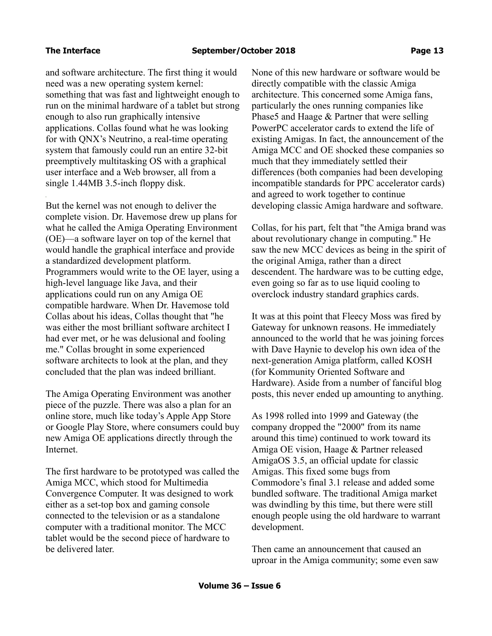i<br>I

and software architecture. The first thing it would need was a new operating system kernel: something that was fast and lightweight enough to run on the minimal hardware of a tablet but strong enough to also run graphically intensive applications. Collas found what he was looking for with QNX's Neutrino, a real-time operating system that famously could run an entire 32-bit preemptively multitasking OS with a graphical user interface and a Web browser, all from a single 1.44MB 3.5-inch floppy disk.

But the kernel was not enough to deliver the complete vision. Dr. Havemose drew up plans for what he called the Amiga Operating Environment (OE)—a software layer on top of the kernel that would handle the graphical interface and provide a standardized development platform. Programmers would write to the OE layer, using a high-level language like Java, and their applications could run on any Amiga OE compatible hardware. When Dr. Havemose told Collas about his ideas, Collas thought that "he was either the most brilliant software architect I had ever met, or he was delusional and fooling me." Collas brought in some experienced software architects to look at the plan, and they concluded that the plan was indeed brilliant.

The Amiga Operating Environment was another piece of the puzzle. There was also a plan for an online store, much like today's Apple App Store or Google Play Store, where consumers could buy new Amiga OE applications directly through the Internet.

The first hardware to be prototyped was called the Amiga MCC, which stood for Multimedia Convergence Computer. It was designed to work either as a set-top box and gaming console connected to the television or as a standalone computer with a traditional monitor. The MCC tablet would be the second piece of hardware to be delivered later.

None of this new hardware or software would be directly compatible with the classic Amiga architecture. This concerned some Amiga fans, particularly the ones running companies like Phase5 and Haage & Partner that were selling PowerPC accelerator cards to extend the life of existing Amigas. In fact, the announcement of the Amiga MCC and OE shocked these companies so much that they immediately settled their differences (both companies had been developing incompatible standards for PPC accelerator cards) and agreed to work together to continue developing classic Amiga hardware and software.

Collas, for his part, felt that "the Amiga brand was about revolutionary change in computing." He saw the new MCC devices as being in the spirit of the original Amiga, rather than a direct descendent. The hardware was to be cutting edge, even going so far as to use liquid cooling to overclock industry standard graphics cards.

It was at this point that Fleecy Moss was fired by Gateway for unknown reasons. He immediately announced to the world that he was joining forces with Dave Haynie to develop his own idea of the next-generation Amiga platform, called KOSH (for Kommunity Oriented Software and Hardware). Aside from a number of fanciful blog posts, this never ended up amounting to anything.

As 1998 rolled into 1999 and Gateway (the company dropped the "2000" from its name around this time) continued to work toward its Amiga OE vision, Haage & Partner released AmigaOS 3.5, an official update for classic Amigas. This fixed some bugs from Commodore's final 3.1 release and added some bundled software. The traditional Amiga market was dwindling by this time, but there were still enough people using the old hardware to warrant development.

Then came an announcement that caused an uproar in the Amiga community; some even saw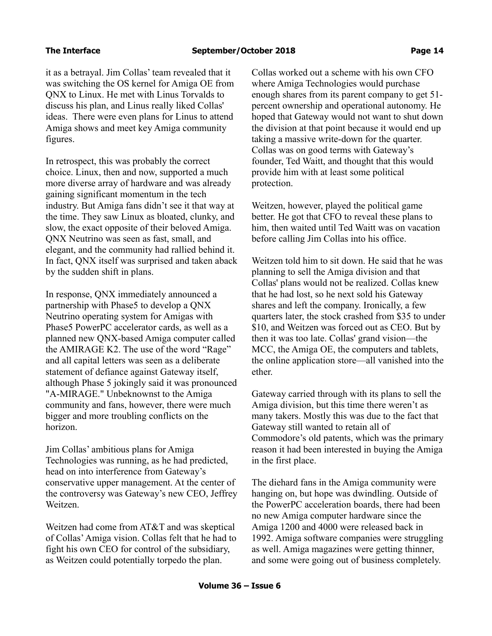it as a betrayal. Jim Collas' team revealed that it was switching the OS kernel for Amiga OE from QNX to Linux. He met with Linus Torvalds to discuss his plan, and Linus really liked Collas' ideas. There were even plans for Linus to attend Amiga shows and meet key Amiga community figures.

In retrospect, this was probably the correct choice. Linux, then and now, supported a much more diverse array of hardware and was already gaining significant momentum in the tech industry. But Amiga fans didn't see it that way at the time. They saw Linux as bloated, clunky, and slow, the exact opposite of their beloved Amiga. QNX Neutrino was seen as fast, small, and elegant, and the community had rallied behind it. In fact, QNX itself was surprised and taken aback by the sudden shift in plans.

In response, QNX immediately announced a partnership with Phase5 to develop a QNX Neutrino operating system for Amigas with Phase5 PowerPC accelerator cards, as well as a planned new QNX-based Amiga computer called the AMIRAGE K2. The use of the word "Rage" and all capital letters was seen as a deliberate statement of defiance against Gateway itself, although Phase 5 jokingly said it was pronounced "A-MIRAGE." Unbeknownst to the Amiga community and fans, however, there were much bigger and more troubling conflicts on the horizon.

Jim Collas' ambitious plans for Amiga Technologies was running, as he had predicted, head on into interference from Gateway's conservative upper management. At the center of the controversy was Gateway's new CEO, Jeffrey Weitzen.

Weitzen had come from AT&T and was skeptical of Collas' Amiga vision. Collas felt that he had to fight his own CEO for control of the subsidiary, as Weitzen could potentially torpedo the plan.

Collas worked out a scheme with his own CFO where Amiga Technologies would purchase enough shares from its parent company to get 51 percent ownership and operational autonomy. He hoped that Gateway would not want to shut down the division at that point because it would end up taking a massive write-down for the quarter. Collas was on good terms with Gateway's founder, Ted Waitt, and thought that this would provide him with at least some political protection.

Weitzen, however, played the political game better. He got that CFO to reveal these plans to him, then waited until Ted Waitt was on vacation before calling Jim Collas into his office.

Weitzen told him to sit down. He said that he was planning to sell the Amiga division and that Collas' plans would not be realized. Collas knew that he had lost, so he next sold his Gateway shares and left the company. Ironically, a few quarters later, the stock crashed from \$35 to under \$10, and Weitzen was forced out as CEO. But by then it was too late. Collas' grand vision—the MCC, the Amiga OE, the computers and tablets, the online application store—all vanished into the ether.

Gateway carried through with its plans to sell the Amiga division, but this time there weren't as many takers. Mostly this was due to the fact that Gateway still wanted to retain all of Commodore's old patents, which was the primary reason it had been interested in buying the Amiga in the first place.

The diehard fans in the Amiga community were hanging on, but hope was dwindling. Outside of the PowerPC acceleration boards, there had been no new Amiga computer hardware since the Amiga 1200 and 4000 were released back in 1992. Amiga software companies were struggling as well. Amiga magazines were getting thinner, and some were going out of business completely.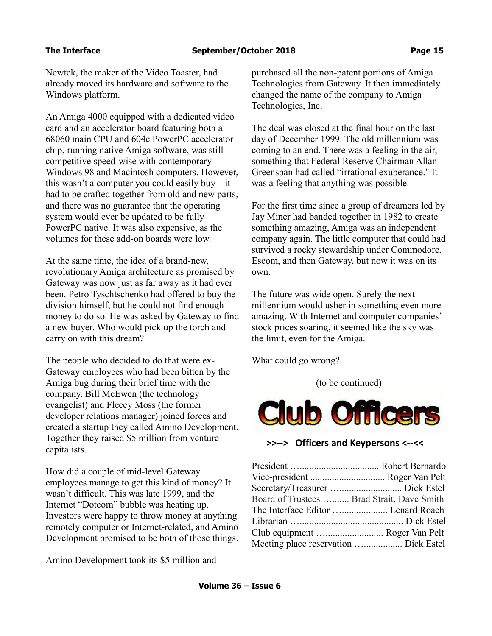Newtek, the maker of the Video Toaster, had already moved its hardware and software to the Windows platform.

An Amiga 4000 equipped with a dedicated video card and an accelerator board featuring both a 68060 main CPU and 604e PowerPC accelerator chip, running native Amiga software, was still competitive speed-wise with contemporary Windows 98 and Macintosh computers. However, this wasn't a computer you could easily buy—it had to be crafted together from old and new parts, and there was no guarantee that the operating system would ever be updated to be fully PowerPC native. It was also expensive, as the volumes for these add-on boards were low.

At the same time, the idea of a brand-new, revolutionary Amiga architecture as promised by Gateway was now just as far away as it had ever been. Petro Tyschtschenko had offered to buy the division himself, but he could not find enough money to do so. He was asked by Gateway to find a new buyer. Who would pick up the torch and carry on with this dream?

The people who decided to do that were ex-Gateway employees who had been bitten by the Amiga bug during their brief time with the company. Bill McEwen (the technology evangelist) and Fleecy Moss (the former developer relations manager) joined forces and created a startup they called Amino Development. Together they raised \$5 million from venture capitalists.

How did a couple of mid-level Gateway employees manage to get this kind of money? It wasn't difficult. This was late 1999, and the Internet "Dotcom" bubble was heating up. Investors were happy to throw money at anything remotely computer or Internet-related, and Amino Development promised to be both of those things.

Amino Development took its \$5 million and

purchased all the non-patent portions of Amiga Technologies from Gateway. It then immediately changed the name of the company to Amiga Technologies, Inc.

The deal was closed at the final hour on the last day of December 1999. The old millennium was coming to an end. There was a feeling in the air, something that Federal Reserve Chairman Allan Greenspan had called "irrational exuberance." It was a feeling that anything was possible.

For the first time since a group of dreamers led by Jay Miner had banded together in 1982 to create something amazing, Amiga was an independent company again. The little computer that could had survived a rocky stewardship under Commodore, Escom, and then Gateway, but now it was on its own.

The future was wide open. Surely the next millennium would usher in something even more amazing. With Internet and computer companies' stock prices soaring, it seemed like the sky was the limit, even for the Amiga.

What could go wrong?

(to be continued)



## **>>--> Officers and Keypersons <--<<**

| Board of Trustees  Brad Strait, Dave Smith |
|--------------------------------------------|
| The Interface Editor  Lenard Roach         |
|                                            |
| Club equipment  Roger Van Pelt             |
| Meeting place reservation  Dick Estel      |